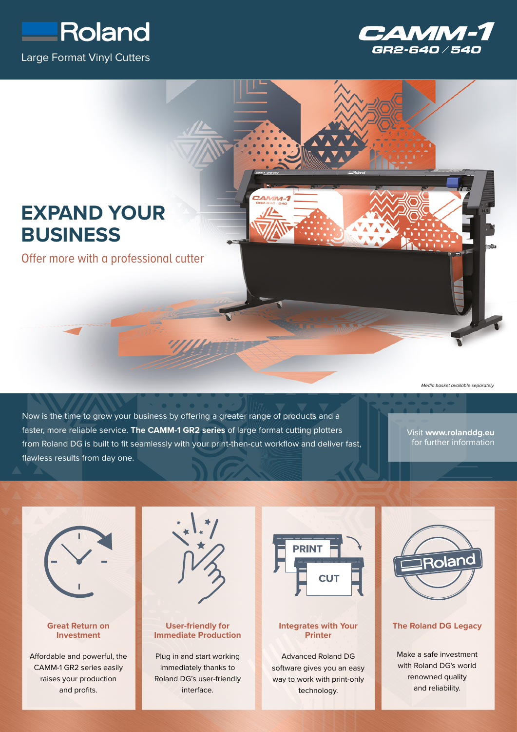





*Media basket available separately.*

Now is the time to grow your business by offering a greater range of products and a faster, more reliable service. **The CAMM-1 GR2 series** of large format cutting plotters from Roland DG is built to fit seamlessly with your print-then-cut workflow and deliver fast, flawless results from day one.

Visit **www.rolanddg.eu** for further information



## **Great Return on Investment**

Affordable and powerful, the CAMM-1 GR2 series easily raises your production and profits.



# **User-friendly for Immediate Production**

Plug in and start working immediately thanks to Roland DG's user-friendly interface.



### **Integrates with Your Printer**

Advanced Roland DG software gives you an easy way to work with print-only technology.



#### **The Roland DG Legacy**

Make a safe investment with Roland DG's world renowned quality and reliability.